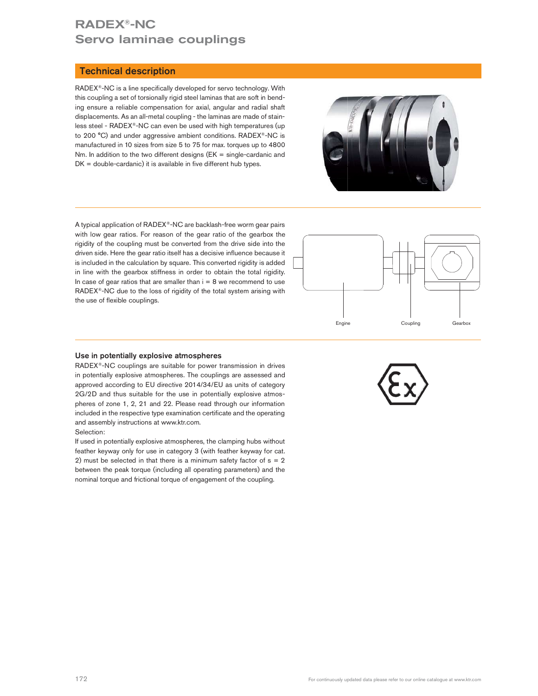# RADEX®-NC Servo laminae couplings

#### Technical description

RADEX<sup>®</sup>-NC is a line specifically developed for servo technology. With this coupling a set of torsionally rigid steel laminas that are soft in bending ensure a reliable compensation for axial, angular and radial shaft displacements. As an all-metal coupling - the laminas are made of stainless steel - RADEX®-NC can even be used with high temperatures (up to 200 °C) and under aggressive ambient conditions. RADEX®-NC is manufactured in 10 sizes from size 5 to 75 for max. torques up to 4800 Nm. In addition to the two different designs (EK = single-cardanic and  $DK = double-cardanic$ ) it is available in five different hub types.



A typical application of RADEX®-NC are backlash-free worm gear pairs with low gear ratios. For reason of the gear ratio of the gearbox the rigidity of the coupling must be converted from the drive side into the driven side. Here the gear ratio itself has a decisive influence because it is included in the calculation by square. This converted rigidity is added in line with the gearbox stiffness in order to obtain the total rigidity. In case of gear ratios that are smaller than  $i = 8$  we recommend to use RADEX®-NC due to the loss of rigidity of the total system arising with the use of flexible couplings.



#### Use in potentially explosive atmospheres

RADEX®-NC couplings are suitable for power transmission in drives in potentially explosive atmospheres. The couplings are assessed and approved according to EU directive 2014/34/EU as units of category 2G/2D and thus suitable for the use in potentially explosive atmospheres of zone 1, 2, 21 and 22. Please read through our information included in the respective type examination certificate and the operating and assembly instructions at www.ktr.com.

#### Selection:

If used in potentially explosive atmospheres, the clamping hubs without feather keyway only for use in category 3 (with feather keyway for cat. 2) must be selected in that there is a minimum safety factor of  $s = 2$ between the peak torque (including all operating parameters) and the nominal torque and frictional torque of engagement of the coupling.

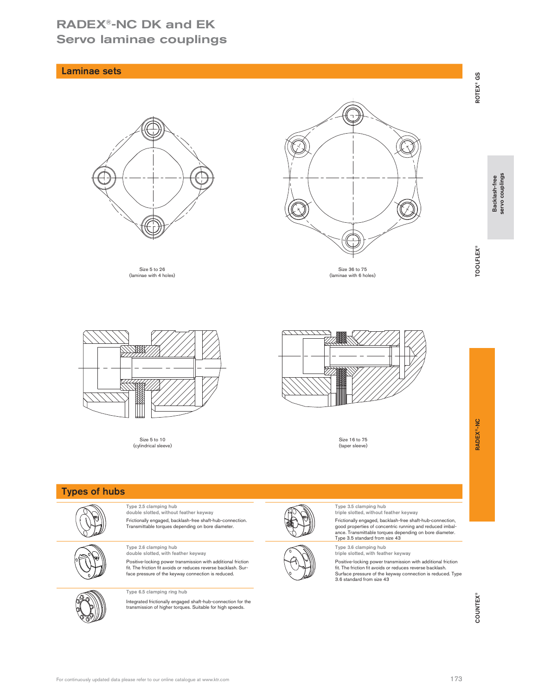## RADEX®-NC DK and EK Servo laminae couplings

# $\frac{17}{17}$   $\frac{17}{9}$   $\frac{17}{9}$   $\frac{17}{9}$  ROTEX<sup>®</sup> and **RADEX<sup>®</sup>-NC** COUNTEX® Backlash-free Backlash-free servo couplings explicitly explicitly explicitly explicitly explicitly explicitly explicitly explicitly explicit Type 2.5 clamping hub double slotted, without feather keyway Type 3.5 clamping hub triple slotted, without feather keyway Frictionally engaged, backlash-free shaft-hub-connection. Transmittable torques depending on bore diameter. Frictionally engaged, backlash-free shaft-hub-connection, good properties of concentric running and reduced imbalance. Transmittable torques depending on bore diameter. Type 3.5 standard from size 43 Type 2.6 clamping hub double slotted, with feather keyway Type 3.6 clamping hub triple slotted, with feather keyway Positive-locking power transmission with additional friction<br>fit. The friction fit avoids or reduces reverse backlash. Sur-<br>face pressure of the keyway connection is reduced. Positive-locking power transmission with additional friction fit. The friction fit avoids or reduces reverse backlash. Surface pressure of the keyway connection is reduced. Type 3.6 standard from size 43 Type 6.5 clamping ring hub Integrated frictionally engaged shaft-hub-connection for the transmission of higher torques. Suitable for high speeds. Size 5 to 26<br>(laminae with 4 holes) (laminae with 4 holes) Size 36 to 75 (laminae with 6 holes) Size 5 to 10<br>(cylindrical sleeve) (cylindrical sleeve) Size 16 to 75 (taper sleeve) Types of hubs Laminae sets

For continuously updated data please refer to our online catalogue at www.ktr.com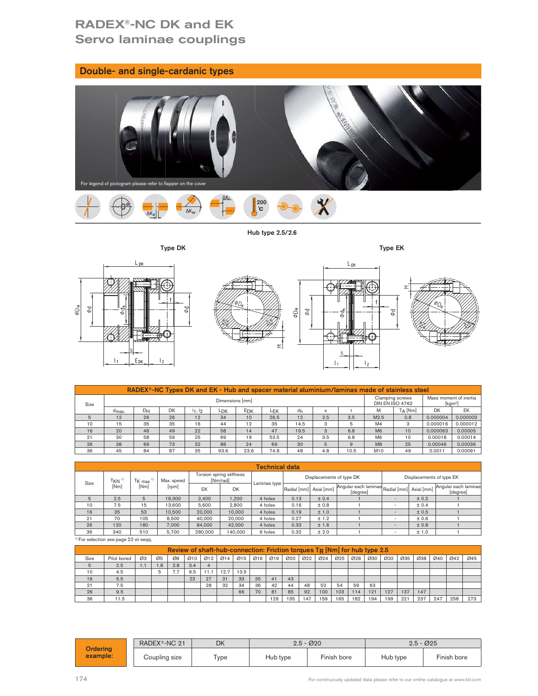# RADEX®-NC DK and EK Servo laminae couplings

Double- and single-cardanic types

| <b>Boable and single cardame types</b><br>For legend of pictogram please refer to flapper on the cover | <b>CONTRACTOR</b>       |  |
|--------------------------------------------------------------------------------------------------------|-------------------------|--|
| $\Delta K_r$<br>$\Delta K_W$<br>$\Delta K_{a}$                                                         | $\frac{1}{2}$ 200<br>ъĉ |  |
|                                                                                                        | Hub type 2.5/2.6        |  |
| Type DK                                                                                                | Type EK                 |  |
| Lрк<br>77871777<br>$\sqrt{111222}$                                                                     | $L_{EK}$<br>— دار ب     |  |



Hub type 2.5/2.6



|      |                                                                                               | - DK           | l2                                                                                                            |        |                                      | ΣΙ                       |                        |              | S                                                       | l 2                      |                |       |           |                                  |  |
|------|-----------------------------------------------------------------------------------------------|----------------|---------------------------------------------------------------------------------------------------------------|--------|--------------------------------------|--------------------------|------------------------|--------------|---------------------------------------------------------|--------------------------|----------------|-------|-----------|----------------------------------|--|
|      | RADEX®-NC Types DK and EK - Hub and spacer material aluminium/laminas made of stainless steel |                |                                                                                                               |        |                                      |                          |                        |              |                                                         |                          |                |       |           |                                  |  |
| Size |                                                                                               |                | Mass moment of inertia<br>Clamping screws<br>Dimensions [mm]<br><b>DIN EN ISO 4762</b><br>[kgm <sup>2</sup> ] |        |                                      |                          |                        |              |                                                         |                          |                |       |           |                                  |  |
|      | d <sub>max</sub> .                                                                            | D <sub>H</sub> | <b>DK</b>                                                                                                     | 11, 12 | EDK<br>LDK                           | LEK                      | dh                     | $\mathbf{s}$ |                                                         | M                        | $T_A$ [Nm]     |       | <b>DK</b> | EK                               |  |
| 5    | 12                                                                                            | 26             | 26                                                                                                            | 12     | 34<br>10                             | 26.5                     | 12                     | 2.5          | 3.5                                                     | M2.5                     | 0.8            |       | 0.000004  | 0.000003                         |  |
| 10   | 15                                                                                            | 35             | 35                                                                                                            | 16     | 12<br>44                             | 35                       | 14.5                   | 3            | 5                                                       | M4                       | 3              |       | 0.000016  | 0.000012                         |  |
| 16   | 20                                                                                            | 46             | 49                                                                                                            | 22     | 58<br>14                             | 47                       | 19.5                   | 3            | 6.8                                                     | M6                       | 10             |       | 0.000063  | 0.00005                          |  |
| 21   | 30                                                                                            | 58             | 59                                                                                                            | 25     | 69<br>19                             | 53.5                     | 24                     | 3.5          | 6.8                                                     | M <sub>6</sub>           | 10             |       | 0.00018   | 0.00014                          |  |
| 26   | 38                                                                                            | 69             | 73                                                                                                            | 32     | 88<br>24                             | 69                       | 30                     | 5            | 9                                                       | M8                       | 25             |       | 0.00046   | 0.00036                          |  |
| 36   | 45                                                                                            | 84             | 87                                                                                                            | 35     | 23.6<br>93.6                         | 74.8                     | 48                     | 4.8          | 10.5                                                    | M10                      | 49             |       | 0.0011    | 0.00091                          |  |
|      |                                                                                               |                |                                                                                                               |        |                                      |                          |                        |              |                                                         |                          |                |       |           |                                  |  |
|      |                                                                                               |                |                                                                                                               |        |                                      | <b>Technical data</b>    |                        |              |                                                         |                          |                |       |           |                                  |  |
| Size | $T_{KN}$ <sup>1)</sup>                                                                        | $T_{K \, max}$ | Max. speed                                                                                                    |        | Torsion spring stiffness<br>[Nm/rad] | Laminae type             |                        |              | Displacements of type EK                                |                          |                |       |           |                                  |  |
|      | [Nm]                                                                                          | [Nm]           | [rpm]                                                                                                         | EK     | <b>DK</b>                            |                          | Radial [mm] Axial [mm] |              | Angular each laminae Radial [mm] Axial [mm]<br>[degree] |                          |                |       |           | Angular each laminae<br>[degree] |  |
| 5    | 2.5                                                                                           | 5              | 18,300                                                                                                        | 2,400  | 1,200                                | 4 holes                  | 0.13                   | ± 0.4        |                                                         |                          | $\overline{a}$ | ± 0.2 |           |                                  |  |
| 10   | 7.5                                                                                           | 15             | 13,600                                                                                                        | 5,600  | 2,800                                | 4 holes                  | 0.16                   | ±0.8         |                                                         |                          | $\sim$         | ± 0.4 |           |                                  |  |
| 16   | 35                                                                                            | 53             | 10,500                                                                                                        | 20,000 | 10,000                               | 4 holes                  | 0.19                   | ± 1.0        |                                                         | $\overline{\phantom{a}}$ |                | ± 0.5 |           |                                  |  |
| 21   | 70                                                                                            | 105            | 8.500                                                                                                         | 40,000 | 20,000                               | 0.27<br>± 1.2<br>4 holes |                        |              |                                                         | $\sim$                   | ±0.6           |       |           |                                  |  |
|      |                                                                                               |                |                                                                                                               |        |                                      |                          |                        |              |                                                         |                          |                |       |           |                                  |  |

| Size |                                                  |                        |     |                                                                              |        |                          | Dimensions [mm] |           |         |                       |      |      |                          |     |                                  |                |                          | Clamping screws<br><b>DIN EN ISO 4762</b> |       | Mass moment of inertia   | $\left[\mathrm{kgm^2}\right]$ |                      |
|------|--------------------------------------------------|------------------------|-----|------------------------------------------------------------------------------|--------|--------------------------|-----------------|-----------|---------|-----------------------|------|------|--------------------------|-----|----------------------------------|----------------|--------------------------|-------------------------------------------|-------|--------------------------|-------------------------------|----------------------|
|      | $d_{\text{max}}$                                 | <b>DH</b>              |     | <b>DK</b>                                                                    | 11, 12 |                          | L <sub>DK</sub> | EDK       |         | <b>LEK</b>            |      | dh   | $\mathbf{s}$             |     |                                  | M              |                          | $T_A$ [Nm]                                |       | <b>DK</b>                |                               | EK                   |
| 5    | 12                                               | 26                     |     | 26                                                                           | 12     |                          | 34              | 10        |         | 26.5                  |      | 12   | 2.5                      |     | 3.5                              | M2.5           |                          | 0.8                                       |       | 0.000004                 |                               | 0.000003             |
| 10   | 15                                               | 35                     |     | 35                                                                           | 16     |                          | 44              | 12        |         | 35                    |      | 14.5 | 3                        |     | 5                                | M <sub>4</sub> |                          | 3                                         |       | 0.000016                 |                               | 0.000012             |
| 16   | 20                                               | 46                     |     | 49                                                                           | 22     |                          | 58              | 14        |         | 47                    |      | 19.5 | $\mathbf{3}$             |     | 6.8                              | M6             |                          | 10                                        |       | 0.000063                 |                               | 0.00005              |
| 21   | 30                                               | 58                     |     | 59                                                                           | 25     |                          | 69              | 19        |         | 53.5                  |      | 24   | 3.5                      |     | 6.8                              | M <sub>6</sub> |                          | 10                                        |       | 0.00018                  |                               | 0.00014              |
| 26   | 38                                               | 69                     |     | 73                                                                           | 32     |                          | 88              | 24        |         | 69                    |      | 30   | $\overline{5}$           |     | $\overline{9}$                   | M8             |                          | 25                                        |       | 0.00046                  |                               | 0.00036              |
| 36   | 45                                               | 84                     |     | 87                                                                           | 35     |                          | 93.6            | 23.6      |         | 74.8                  |      | 48   | 4.8                      |     | 10.5                             | M10            |                          | 49                                        |       | 0.0011                   |                               | 0.00091              |
|      |                                                  |                        |     |                                                                              |        |                          |                 |           |         |                       |      |      |                          |     |                                  |                |                          |                                           |       |                          |                               |                      |
|      |                                                  |                        |     |                                                                              |        |                          |                 |           |         | <b>Technical data</b> |      |      |                          |     |                                  |                |                          |                                           |       |                          |                               |                      |
| Size | $T_{KN}$ <sup>1)</sup>                           | $TK$ max <sup>1)</sup> |     | Max. speed                                                                   |        | Torsion spring stiffness | [Nm/rad]        |           |         |                       |      |      | Displacements of type DK |     |                                  |                |                          |                                           |       | Displacements of type EK |                               |                      |
|      | [Nm]                                             | [Nm]                   |     | [rpm]                                                                        |        | EK                       |                 | <b>DK</b> |         | Laminae type          |      |      | Radial [mm] Axial [mm]   |     | Angular each laminae<br>[degree] |                |                          | Radial [mm] Axial [mm]                    |       |                          | [degree]                      | Angular each laminae |
| 5    | 2.5                                              | 5                      |     | 18,300                                                                       |        | 2,400                    |                 | 1,200     |         | 4 holes               | 0.13 |      | ± 0.4                    |     |                                  |                | $\overline{\phantom{a}}$ |                                           | ± 0.2 |                          |                               |                      |
| 10   | 7.5                                              | 15                     |     | 13,600                                                                       |        | 5,600                    |                 | 2,800     |         | 4 holes               |      | 0.16 | ± 0.8                    |     |                                  |                | $\sim$                   |                                           | ± 0.4 |                          |                               |                      |
| 16   | 35                                               | 53                     |     | 10,500                                                                       |        | 20,000                   |                 | 10,000    | 4 holes |                       | 0.19 |      | ± 1.0                    |     |                                  |                | ٠.                       |                                           | ± 0.5 |                          |                               |                      |
| 21   | 70                                               | 105                    |     | 8,500                                                                        |        | 40.000                   |                 | 20,000    |         | 4 holes               | 0.27 |      | ± 1.2                    |     |                                  |                |                          |                                           | ±0.6  |                          |                               |                      |
| 26   | 120                                              | 180                    |     | 7.000                                                                        |        | 84,000                   |                 | 42,000    |         | 4 holes               | 0.33 |      | ± 1.6                    |     |                                  |                | $\overline{\phantom{a}}$ |                                           | ±0.8  |                          |                               |                      |
| 36   | 340                                              | 510                    |     | 5,700                                                                        |        | 280,000                  |                 | 140,000   |         | 6 holes               | 0.32 |      | ± 2.0                    |     |                                  |                | $\sim$                   |                                           | ± 1.0 |                          | $\mathbf{1}$                  |                      |
|      | <sup>1)</sup> For selection see page 22 et seqq. |                        |     |                                                                              |        |                          |                 |           |         |                       |      |      |                          |     |                                  |                |                          |                                           |       |                          |                               |                      |
|      |                                                  |                        |     | Review of shaft-hub-connection: Friction torques $T_R$ [Nm] for hub type 2.5 |        |                          |                 |           |         |                       |      |      |                          |     |                                  |                |                          |                                           |       |                          |                               |                      |
| Size | Pilot bored                                      | Ø3                     | Ø5  | Ø8                                                                           | 010    | $\varnothing$ 12         | 014             | 015       | Ø16     | Ø19                   | 020  | 022  | 024                      | 025 | 028                              | 030            | 032                      | 035                                       | 038   | 040                      | 042                           | 045                  |
| 5    | 2.5                                              | 1.1                    | 1.8 | 2.8                                                                          | 3.4    | $\overline{4}$           |                 |           |         |                       |      |      |                          |     |                                  |                |                          |                                           |       |                          |                               |                      |
| 10   | 4.5                                              |                        | 5   | 7.7                                                                          | 9.5    | 11.1                     | 12.7            | 13.5      |         |                       |      |      |                          |     |                                  |                |                          |                                           |       |                          |                               |                      |
| 16   | 5.5                                              |                        |     |                                                                              | 23     | 27                       | 31              | 33        | 35      | 41                    | 43   |      |                          |     |                                  |                |                          |                                           |       |                          |                               |                      |
| 21   | 7.5                                              |                        |     |                                                                              |        | 28                       | 32              | 34        | 36      | 42                    | 44   | 48   | 52                       | 54  | 59                               | 63             |                          |                                           |       |                          |                               |                      |
| 26   | 9.5                                              |                        |     |                                                                              |        |                          |                 | 66        | 70      | 81                    | 85   | 92   | 100                      | 103 | 114                              | 121            | 127                      | 137                                       | 147   |                          |                               |                      |
| 36   | 11.5                                             |                        |     |                                                                              |        |                          |                 |           |         | 129                   | 135  | 147  | 159                      | 165 | 182                              | 194            | 199                      | 221                                       | 237   | 247                      | 258                           | 273                  |

|      | $\mathsf{r}_{\mathsf{KN}}$ "                 | $T_{\mathsf{K}}$ max |     | Max. speed                                                                   |     |          | [Nm/rad]                |           |         |              |      |              | 5.0                    |          |          |     |             |     |                                                                                   |     |          |                      |
|------|----------------------------------------------|----------------------|-----|------------------------------------------------------------------------------|-----|----------|-------------------------|-----------|---------|--------------|------|--------------|------------------------|----------|----------|-----|-------------|-----|-----------------------------------------------------------------------------------|-----|----------|----------------------|
| Size | [Nm]                                         | [Nm]                 |     | [rpm]                                                                        |     | EK       |                         | <b>DK</b> |         | Laminae type |      |              | Radial [mm] Axial [mm] |          | [degree] |     |             |     | Angular each laminae Radial [mm] Axial [mm]                                       |     | [degree] | Angular each laminae |
| 5    | 2.5                                          | 5                    |     | 18,300                                                                       |     | 2,400    |                         | 1,200     |         | 4 holes      | 0.13 |              | ± 0.4                  |          |          |     |             |     | ± 0.2                                                                             |     |          |                      |
| 10   | 7.5                                          | 15                   |     | 13,600                                                                       |     | 5,600    |                         | 2,800     |         | 4 holes      | 0.16 |              | ±0.8                   |          |          |     | $\sim$      |     | ± 0.4                                                                             |     |          |                      |
| 16   | 35                                           | 53                   |     | 10,500                                                                       |     | 20,000   |                         | 10,000    |         | 4 holes      | 0.19 |              | ± 1.0                  |          |          |     | $\sim$      |     | ± 0.5                                                                             |     |          |                      |
| 21   | 70                                           | 105                  |     | 8,500                                                                        |     | 40,000   |                         | 20,000    |         | 4 holes      | 0.27 |              | ± 1.2                  |          |          |     | ٠           |     | ±0.6                                                                              |     |          |                      |
| 26   | 120                                          | 180                  |     | 7,000                                                                        |     | 84,000   |                         | 42,000    | 4 holes |              | 0.33 |              | ± 1.6                  |          |          |     | $\sim$      |     | ± 0.8                                                                             |     |          |                      |
| 36   | 340                                          | 510                  |     | 5,700                                                                        |     | 280,000  |                         | 140,000   | 6 holes |              | 0.32 |              | ± 2.0                  |          |          |     | ۰           |     | ± 1.0                                                                             |     |          |                      |
|      | For selection see page 22 et seqq.           |                      |     |                                                                              |     |          |                         |           |         |              |      |              |                        |          |          |     |             |     |                                                                                   |     |          |                      |
|      |                                              |                      |     | Review of shaft-hub-connection: Friction torques $T_R$ [Nm] for hub type 2.5 |     |          |                         |           |         |              |      |              |                        |          |          |     |             |     |                                                                                   |     |          |                      |
| Size | Pilot bored                                  | Ø3                   | Ø5  | Ø8                                                                           | 010 | Ø12      | Ø14                     | Ø15       | Ø16 Ø19 |              | 020  | 022          | 024                    | 025      | 028      | 030 | 032         | 035 | 038                                                                               | 040 | 042      | 045                  |
| 5    | 2.5                                          | 1.1                  | 1.8 | 2.8                                                                          | 3.4 | $\Delta$ |                         |           |         |              |      |              |                        |          |          |     |             |     |                                                                                   |     |          |                      |
| 10   | 4.5                                          |                      | 5   | 7.7                                                                          | 9.5 | 11.1     | 12.7                    | 13.5      |         |              |      |              |                        |          |          |     |             |     |                                                                                   |     |          |                      |
| 16   | 5.5                                          |                      |     |                                                                              | 23  | 27       | 31                      | 33        | 35      | 41           | 43   |              |                        |          |          |     |             |     |                                                                                   |     |          |                      |
| 21   | 7.5                                          |                      |     |                                                                              |     | 28       | 32                      | 34        | 36      | 42           | 44   | 48           | 52                     | 54       | 59       | 63  |             |     |                                                                                   |     |          |                      |
| 26   | 9.5                                          |                      |     |                                                                              |     |          |                         | 66        | 70      | 81           | 85   | 92           | 100                    | 103      | 114      | 121 | 127         | 137 | 147                                                                               |     |          |                      |
| 36   | 11.5                                         |                      |     |                                                                              |     |          |                         |           |         | 129          | 135  | 147          | 159                    | 165      | 182      | 194 | 199         | 221 | 237                                                                               | 247 | 258      | 273                  |
|      |                                              |                      |     | RADEX®-NC 21                                                                 |     |          | <b>DK</b>               |           |         |              |      | $2.5 - 0.20$ |                        |          |          |     |             |     | $2.5 - 0.25$                                                                      |     |          |                      |
|      | <b>Ordering</b><br>example:<br>Coupling size |                      |     | Type                                                                         |     |          | Finish bore<br>Hub type |           |         |              |      |              |                        | Hub type |          |     | Finish bore |     |                                                                                   |     |          |                      |
| 174  |                                              |                      |     |                                                                              |     |          |                         |           |         |              |      |              |                        |          |          |     |             |     | For continuously updated data please refer to our online catalogue at www.ktr.com |     |          |                      |

|                             | RADEX <sup>®</sup> -NC 21 | DK        |          | $2.5 - 0.020$ |          | $2.5 - 0.025$ |
|-----------------------------|---------------------------|-----------|----------|---------------|----------|---------------|
| <b>Ordering</b><br>example: | Coupling size             | $_{Type}$ | Hub type | Finish bore   | Hub type | Finish bore   |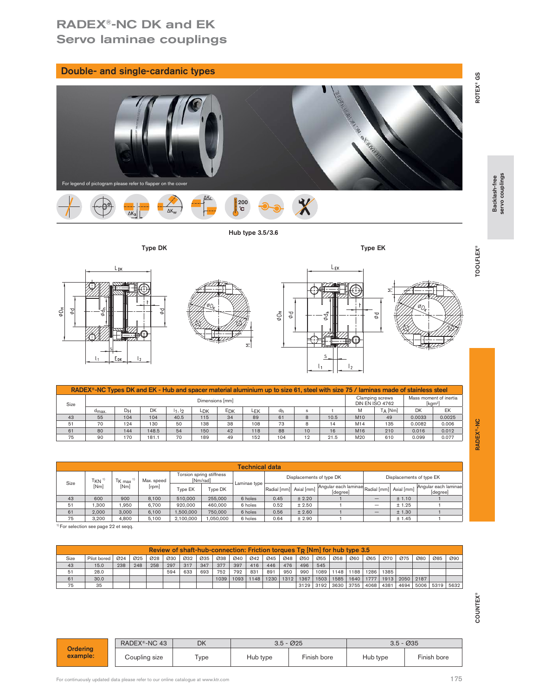# RADEX®-NC DK and EK Servo laminae couplings

| Double- and single-cardanic types                                                                                                                                                                                                                                                                                                                                                                                                                                                                                                                                                                                                                                                                                                                                                                                                                                                                   |                                               |  |
|-----------------------------------------------------------------------------------------------------------------------------------------------------------------------------------------------------------------------------------------------------------------------------------------------------------------------------------------------------------------------------------------------------------------------------------------------------------------------------------------------------------------------------------------------------------------------------------------------------------------------------------------------------------------------------------------------------------------------------------------------------------------------------------------------------------------------------------------------------------------------------------------------------|-----------------------------------------------|--|
| Maria Land Land Land Land<br>For legend of pictogram please refer to flapper on the cover<br><mark>်</mark> 200<br>  င                                                                                                                                                                                                                                                                                                                                                                                                                                                                                                                                                                                                                                                                                                                                                                              | ROTEX® GS<br>Backlash-free<br>servo couplings |  |
| ΔK.,<br>∆Ka                                                                                                                                                                                                                                                                                                                                                                                                                                                                                                                                                                                                                                                                                                                                                                                                                                                                                         |                                               |  |
| Hub type 3.5/3.6                                                                                                                                                                                                                                                                                                                                                                                                                                                                                                                                                                                                                                                                                                                                                                                                                                                                                    |                                               |  |
| Type DK<br>Type EK                                                                                                                                                                                                                                                                                                                                                                                                                                                                                                                                                                                                                                                                                                                                                                                                                                                                                  | TOOLFLEX <sup>®</sup>                         |  |
| L <sub>EK</sub><br>L <sub>DK</sub><br>ᢌ<br>$\Phi\Box_H$<br>$\delta \Phi$<br>$\phi\Box_\mathrm{H}$<br>$\varphi\varphi$<br>Φq<br>Σ<br>E <sub>DK</sub><br>$\mathsf{I}_2$<br>$\mathsf{I}_2$                                                                                                                                                                                                                                                                                                                                                                                                                                                                                                                                                                                                                                                                                                             |                                               |  |
| RADEX®-NC Types DK and EK - Hub and spacer material aluminium up to size 61, steel with size 75 / laminas made of stainless steel                                                                                                                                                                                                                                                                                                                                                                                                                                                                                                                                                                                                                                                                                                                                                                   |                                               |  |
| Mass moment of inertia<br>Clamping screws<br>Dimensions [mm]<br>DIN EN ISO 4762<br>[kgm <sup>2</sup> ]<br>Size<br>DH<br>DK<br>11, 12<br>E <sub>DK</sub><br>M<br>T <sub>A</sub> [Nm]<br>DK<br>EK<br>d <sub>max</sub><br>LDK<br>LEK<br>dh<br>$\ddagger$<br>$\mathbf{s}$<br>40.5<br>$^{\rm 8}$<br>10.5<br>0.0033<br>0.0025<br>43<br>104<br>104<br>61<br>M10<br>49<br>55<br>115<br>34<br>89<br>70<br>51<br>124<br>130<br>50<br>138<br>38<br>73<br>8<br>14<br>M14<br>135<br>0.0082<br>0.006<br>108<br>80<br>54<br>150<br>42<br>88<br>16<br>M16<br>210<br>0.016<br>0.012<br>61<br>144<br>148.5<br>118<br>$10$<br>75<br>170<br>181.1<br>70<br>104<br>21.5<br>M20<br>610<br>0.099<br>0.077<br>90<br>189<br>49<br>152<br>12                                                                                                                                                                                  | RADEX <sup>®</sup> -NC                        |  |
| <b>Technical data</b><br>Torsion spring stiffness<br>Displacements of type DK<br>Displacements of type EK                                                                                                                                                                                                                                                                                                                                                                                                                                                                                                                                                                                                                                                                                                                                                                                           |                                               |  |
| $T_{KN}$ <sup>1)</sup><br>$T_{K \text{ max}}$ <sup>1)</sup><br>[Nm/rad]<br>Max. speed<br>Laminae type<br>Size<br>[Nm]<br>[Nm]<br>[rpm]<br>Angular each laminae Radial [mm]<br>Angular each laminae<br>Type EK<br>Type DK<br>Radial [mm]<br>Axial [mm]<br>Axial [mm]<br>[degree]<br>[degree]<br>510,000<br>255,000<br>600<br>900<br>8,100<br>6 holes<br>0.45<br>± 2.20<br>$\pm$ 1.10<br>43<br>$\overline{1}$<br>$\mathbf{1}$<br>1,300<br>1,950<br>6,700<br>920,000<br>460,000<br>6 holes<br>0.52<br>$\pm$ 2.50<br>$\mathbf{1}$<br>± 1.25<br>$\mathbf{1}$<br>51<br>$\overline{\phantom{m}}$<br>61<br>2,000<br>3,000<br>6,100<br>1,500,000<br>750,000<br>6 holes<br>0.56<br>$\pm$ 2.60<br>$\pm$ 1.30<br>$\mathbf{1}$<br>$\mathbf{1}$<br>$\overline{\phantom{m}}$<br>75<br>3,200<br>4,800<br>5,100<br>2,100,000<br>1,050,000<br>6 holes<br>0.64<br>$\pm$ 2.90<br>± 1.45<br>$\mathbf{1}$<br>$\mathbf{1}$ |                                               |  |
| For selection see page 22 et seqq.                                                                                                                                                                                                                                                                                                                                                                                                                                                                                                                                                                                                                                                                                                                                                                                                                                                                  |                                               |  |
| Review of shaft-hub-connection: Friction torques T <sub>R</sub> [Nm] for hub type 3.5<br>060<br>028<br>030<br>032<br>035<br>038<br>040<br>042<br>045<br>048<br>050<br>055<br>058<br>065<br>070<br>075<br>080<br>085<br>Pilot bored<br>024<br>025<br>090<br>Size<br>248<br>258<br>317<br>347<br>397<br>416<br>446<br>476<br>496<br>545<br>43<br>$15.0\,$<br>238<br>297<br>377<br>28.0<br>633<br>752<br>792<br>831<br>990<br>1089   1148<br>1188<br>1286<br>1385<br>51<br>594<br>693<br>891<br>950<br>1585<br>1640<br>61<br>30.0<br>1039<br>1093<br>1148<br>1230<br>1312<br>1367<br>1503<br>1777<br>1913<br>2050 2187<br>35<br>3129 3192 3630 3755 4068 4381<br>4694 5006 5319 5632<br>75                                                                                                                                                                                                             |                                               |  |
|                                                                                                                                                                                                                                                                                                                                                                                                                                                                                                                                                                                                                                                                                                                                                                                                                                                                                                     | <b>COUNTEX®</b>                               |  |
| RADEX®-NC 43<br>DK<br>$3.5 - 0.25$<br>$3.5 - \emptyset 35$<br><b>Ordering</b>                                                                                                                                                                                                                                                                                                                                                                                                                                                                                                                                                                                                                                                                                                                                                                                                                       |                                               |  |
| example:<br>Coupling size<br>Hub type<br>Finish bore<br>Hub type<br>Finish bore<br>Type                                                                                                                                                                                                                                                                                                                                                                                                                                                                                                                                                                                                                                                                                                                                                                                                             |                                               |  |
| 175<br>or continuously updated data please refer to our online catalogue at www.ktr.com                                                                                                                                                                                                                                                                                                                                                                                                                                                                                                                                                                                                                                                                                                                                                                                                             |                                               |  |



#### Hub type 3.5/3.6





|               |                             | <b>DK</b>      |                      |                 |                                      | Σ                                                                                                                                              |                        |                          |                                                         | $\frac{1}{2}$ |                                           |                          |                             |                                  |
|---------------|-----------------------------|----------------|----------------------|-----------------|--------------------------------------|------------------------------------------------------------------------------------------------------------------------------------------------|------------------------|--------------------------|---------------------------------------------------------|---------------|-------------------------------------------|--------------------------|-----------------------------|----------------------------------|
|               |                             |                |                      |                 |                                      | RADEX <sup>®</sup> -NC Types DK and EK - Hub and spacer material aluminium up to size 61, steel with size 75 / laminas made of stainless steel |                        |                          |                                                         |               |                                           |                          |                             |                                  |
| Size          |                             |                |                      |                 | Dimensions [mm]                      |                                                                                                                                                |                        |                          |                                                         |               | Clamping screws<br><b>DIN EN ISO 4762</b> |                          | $\left[\text{kgm}^2\right]$ | Mass moment of inertia           |
|               | d <sub>max</sub> .          | DH             | DK                   | 11, 12          | <b>E<sub>DK</sub></b><br>LDK         | LEK                                                                                                                                            | dh                     | $\mathbf{s}$             |                                                         | M             | $T_A$ [Nm]                                |                          | <b>DK</b>                   | EK                               |
| 43            | 55                          | 104            | 104                  | 40.5            | 115<br>34                            | 89                                                                                                                                             | 61                     | 8                        | 10.5                                                    | M10           | 49                                        |                          | 0.0033                      | 0.0025                           |
| 51            | 70                          | 124            | 130                  | 50              | 138<br>38                            | 108                                                                                                                                            | 73                     | 8                        | 14                                                      | M14           | 135                                       |                          | 0.0082                      | 0.006                            |
| 61            | 80                          | 144            | 148.5                | 54              | 42<br>150                            | 118                                                                                                                                            | 88                     | 10                       | 16                                                      | M16           | 210                                       |                          | 0.016                       | 0.012                            |
| 75            | 90                          | 170            | 181.1                | 70              | 189                                  | 152<br>49                                                                                                                                      | 104                    | 12                       | 21.5                                                    | M20           | 610                                       |                          | 0.099                       | 0.077                            |
|               |                             |                |                      |                 |                                      | <b>Technical data</b>                                                                                                                          |                        |                          |                                                         |               |                                           |                          |                             |                                  |
| Size          | $T_{KN}$ <sup>1)</sup>      | $T_{K \, max}$ | Max. speed           |                 | Torsion spring stiffness<br>[Nm/rad] | Laminae type                                                                                                                                   |                        | Displacements of type DK |                                                         |               |                                           | Displacements of type EK |                             |                                  |
|               | [Nm]                        | [Nm]           | [rpm]                | Type EK         | Type DK                              |                                                                                                                                                | Radial [mm] Axial [mm] |                          | Angular each laminae Radial [mm] Axial [mm]<br>[degree] |               |                                           |                          |                             | Angular each laminae<br>[degree] |
| 43            | 600                         | 900            | 8.100                | 510,000         | 255,000                              | 6 holes                                                                                                                                        | 0.45                   | ± 2.20                   |                                                         |               | $\overline{\phantom{0}}$                  | ± 1.10                   |                             |                                  |
| 51            | 1,300                       | 1,950          | 6,700                | 920,000         | 460,000                              | 6 holes                                                                                                                                        | 0.52                   | ± 2.50                   |                                                         |               | $\overline{\phantom{0}}$                  | ± 1.25                   |                             |                                  |
| $\sim$ $\sim$ | $\sim$ $\sim$ $\sim$ $\sim$ | $   -$         | $\sim$ $\sim$ $\sim$ | $\sim$ $     -$ | $\frac{1}{2}$                        | $  -$                                                                                                                                          | $- - -$                | .                        |                                                         |               |                                           |                          |                             |                                  |

|      | RADEX®-NC Types DK and EK - Hub and spacer material aluminium up to size 61, steel with size 75 / laminas made of stainless steel |                                   |     |            |        |           |                                                                           |      |              |      |                       |      |                          |      |                                  |      |                                    |                     |                          |        |                                               |        |
|------|-----------------------------------------------------------------------------------------------------------------------------------|-----------------------------------|-----|------------|--------|-----------|---------------------------------------------------------------------------|------|--------------|------|-----------------------|------|--------------------------|------|----------------------------------|------|------------------------------------|---------------------|--------------------------|--------|-----------------------------------------------|--------|
| Size |                                                                                                                                   |                                   |     |            |        |           | Dimensions [mm]                                                           |      |              |      |                       |      |                          |      |                                  |      | Clamping screws<br>DIN EN ISO 4762 |                     |                          |        | Mass moment of inertia<br>[kgm <sup>2</sup> ] |        |
|      | d <sub>max</sub>                                                                                                                  | <b>DH</b>                         |     | <b>DK</b>  | 11, 12 |           | LDK                                                                       | EDK  |              | LEK  | dh                    |      | $\mathbf{s}$             |      |                                  | M    |                                    | T <sub>A</sub> [Nm] |                          | DK     |                                               | EK     |
| 43   | 55                                                                                                                                | 104                               |     | 104        | 40.5   |           | 115                                                                       | 34   |              | 89   | 61                    |      | 8                        |      | 10.5                             | M10  |                                    | 49                  |                          | 0.0033 |                                               | 0.0025 |
| 51   | 70                                                                                                                                | 124                               |     | 130        |        | 50        | 138                                                                       | 38   |              | 108  | 73                    |      | 8                        |      | 14                               | M14  |                                    | 135                 |                          | 0.0082 |                                               | 0.006  |
| 61   | 80                                                                                                                                | 144                               |     | 148.5      | 54     |           | 150                                                                       | 42   |              | 118  | 88                    |      | 10                       |      | 16                               | M16  |                                    | 210                 |                          | 0.016  |                                               | 0.012  |
| 75   | 90                                                                                                                                | 170                               |     | 181.1      | 70     |           | 189                                                                       | 49   |              | 152  | 104                   |      | 12                       |      | 21.5                             | M20  |                                    | 610                 |                          | 0.099  |                                               | 0.077  |
|      |                                                                                                                                   |                                   |     |            |        |           |                                                                           |      |              |      | <b>Technical data</b> |      |                          |      |                                  |      |                                    |                     |                          |        |                                               |        |
|      |                                                                                                                                   |                                   |     |            |        |           |                                                                           |      |              |      |                       |      |                          |      |                                  |      |                                    |                     |                          |        |                                               |        |
| Size | $\frac{T_{KN}^{1}}{[Nm]}$                                                                                                         | $T_{K \text{ max}}$ <sup>1)</sup> |     | Max. speed |        |           | Torsion spring stiffness<br>[Nm/rad]                                      |      | Laminae type |      |                       |      | Displacements of type DK |      |                                  |      |                                    |                     | Displacements of type EK |        |                                               |        |
|      |                                                                                                                                   | [Nm]                              |     | [rpm]      |        | Type EK   | Type DK                                                                   |      |              |      |                       |      | Radial [mm] Axial [mm]   |      | Angular each laminae<br>[degree] |      |                                    |                     | Radial [mm] Axial [mm]   |        | Angular each laminae<br>[degree]              |        |
| 43   | 600                                                                                                                               | 900                               |     | 8,100      |        | 510,000   | 255,000                                                                   |      | 6 holes      |      | 0.45                  |      | ± 2.20                   |      |                                  |      | $\qquad \qquad -$                  |                     | ± 1.10                   |        |                                               |        |
| 51   | 1.300                                                                                                                             | 1.950                             |     | 6.700      |        | 920,000   | 460,000                                                                   |      | 6 holes      |      | 0.52                  |      | ± 2.50                   |      |                                  |      | $\overline{\phantom{0}}$           |                     | ± 1.25                   |        |                                               |        |
| 61   | 2.000                                                                                                                             | 3,000                             |     | 6,100      |        | 1,500,000 | 750,000                                                                   |      | 6 holes      |      | 0.56                  |      | ± 2.60                   |      |                                  |      | $\qquad \qquad -$                  |                     | ± 1.30                   |        |                                               |        |
| 75   | 3,200                                                                                                                             | 4,800                             |     | 5,100      |        | 2,100,000 | 1,050,000                                                                 |      | 6 holes      |      | 0.64                  |      | ± 2.90                   |      |                                  |      |                                    |                     | ± 1.45                   |        |                                               |        |
|      | <sup>1)</sup> For selection see page 22 et segg.                                                                                  |                                   |     |            |        |           |                                                                           |      |              |      |                       |      |                          |      |                                  |      |                                    |                     |                          |        |                                               |        |
|      |                                                                                                                                   |                                   |     |            |        |           | Review of shaft-hub-connection: Friction torques TR [Nm] for hub type 3.5 |      |              |      |                       |      |                          |      |                                  |      |                                    |                     |                          |        |                                               |        |
| Size | Pilot bored                                                                                                                       | 024                               | 025 | 028        | 030    | 032       | 035                                                                       | 038  | 040          | 042  | 045                   | Ø48  | 050                      | 055  | 058                              | 060  | 065                                | 070                 | Ø75                      | 080    | 085                                           | 090    |
| 43   | 15.0                                                                                                                              | 238                               | 248 | 258        | 297    | 317       | 347                                                                       | 377  | 397          | 416  | 446                   | 476  | 496                      | 545  |                                  |      |                                    |                     |                          |        |                                               |        |
| 51   | 28.0                                                                                                                              |                                   |     |            | 594    | 633       | 693                                                                       | 752  | 792          | 831  | 891                   | 950  | 990                      | 1089 | 1148                             | 1188 | 1286                               | 1385                |                          |        |                                               |        |
| 61   | 30.0                                                                                                                              |                                   |     |            |        |           |                                                                           | 1039 | 1093         | 1148 | 1230                  | 1312 | 1367                     | 1503 | 1585                             | 1640 | 1777                               |                     | 1913   2050              | 2187   |                                               |        |
| 75   | 35                                                                                                                                |                                   |     |            |        |           |                                                                           |      |              |      |                       |      | 3129 3192 3630 3755 4068 |      |                                  |      |                                    | 4381                |                          |        | 4694 5006 5319 5632                           |        |
|      |                                                                                                                                   |                                   |     |            |        |           |                                                                           |      |              |      |                       |      |                          |      |                                  |      |                                    |                     |                          |        |                                               |        |

| 038<br>025<br>028<br>032<br>035<br>042<br>045<br>048<br>060<br>065<br>070<br>075<br>080<br>085<br>Ø90<br>Pilot bored<br>024<br>030<br>040<br>050<br>055<br>058<br>Size<br>238<br>258<br>297<br>317<br>377<br>248<br>347<br>397<br>416<br>476<br>496<br>545<br>43<br>15.0<br>446<br>1286<br>633<br>1089<br>1188<br>1385<br>594<br>752<br>831<br>1148<br>51<br>28.0<br>693<br>792<br>891<br>950<br>990<br>1503<br>1230<br>1312<br>1585<br>1640   1777<br> 1913 2050 <br>2187<br>1039<br>1093<br>1148<br>1367<br>61<br>30.0<br>3129 3192 3630 3755<br>5006 5319 5632<br>4068 4381<br>4694<br>75<br>35 |
|----------------------------------------------------------------------------------------------------------------------------------------------------------------------------------------------------------------------------------------------------------------------------------------------------------------------------------------------------------------------------------------------------------------------------------------------------------------------------------------------------------------------------------------------------------------------------------------------------|
|                                                                                                                                                                                                                                                                                                                                                                                                                                                                                                                                                                                                    |
|                                                                                                                                                                                                                                                                                                                                                                                                                                                                                                                                                                                                    |
|                                                                                                                                                                                                                                                                                                                                                                                                                                                                                                                                                                                                    |
|                                                                                                                                                                                                                                                                                                                                                                                                                                                                                                                                                                                                    |
|                                                                                                                                                                                                                                                                                                                                                                                                                                                                                                                                                                                                    |
| RADEX®-NC 43<br>$3.5 - 025$<br>DK<br>$3.5 - 0.035$<br><b>Ordering</b>                                                                                                                                                                                                                                                                                                                                                                                                                                                                                                                              |
| example:<br>Finish bore<br>Coupling size<br>Hub type<br>Hub type<br>Finish bore<br>Type                                                                                                                                                                                                                                                                                                                                                                                                                                                                                                            |

|                             | RADEX <sup>®</sup> -NC 43 | <b>DK</b> |          | $3.5 - 025$ |          | $3.5 - 0.035$ |
|-----------------------------|---------------------------|-----------|----------|-------------|----------|---------------|
| <b>Ordering</b><br>example: | Coupling size             | l ype     | Hub type | Finish bore | Hub type | Finish bore   |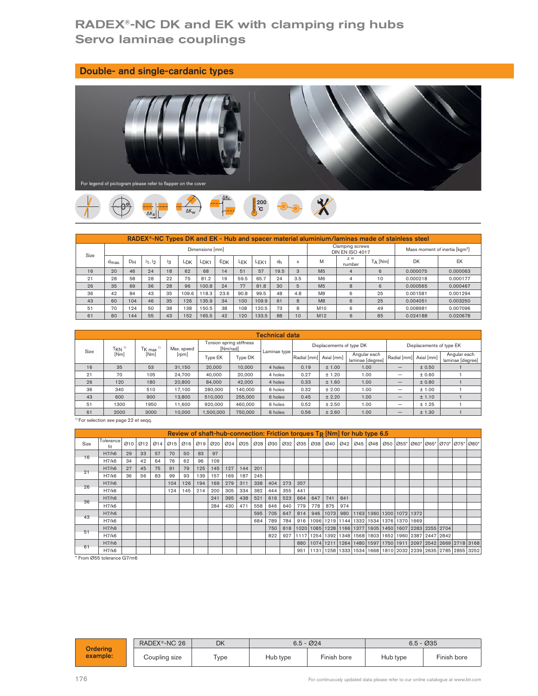# RADEX®-NC DK and EK with clamping ring hubs Servo laminae couplings

| Double- and single-cardanic types                            |  |
|--------------------------------------------------------------|--|
| For legend of pictogram please refer to flapper on the cover |  |



| For legend of pictogram please refer to flapper on the cover |                  |                                                                                                                    |        |    |                 |                  |      |         |                     |                          |              |                                                                                               |                                           |            |                                    |           |                                            |
|--------------------------------------------------------------|------------------|--------------------------------------------------------------------------------------------------------------------|--------|----|-----------------|------------------|------|---------|---------------------|--------------------------|--------------|-----------------------------------------------------------------------------------------------|-------------------------------------------|------------|------------------------------------|-----------|--------------------------------------------|
|                                                              |                  |                                                                                                                    |        |    | $\Delta K_W$    |                  |      |         | 200<br>$^{\circ}$ C |                          |              |                                                                                               |                                           |            |                                    |           |                                            |
|                                                              |                  |                                                                                                                    |        |    |                 |                  |      |         |                     |                          |              | RADEX®-NC Types DK and EK - Hub and spacer material aluminium/laminas made of stainless steel |                                           |            |                                    |           |                                            |
| Size                                                         |                  |                                                                                                                    |        |    |                 | Dimensions [mm]  |      |         |                     |                          |              |                                                                                               | Clamping screws<br><b>DIN EN ISO 4017</b> |            |                                    |           | Mass moment of inertia [kgm <sup>2</sup> ] |
|                                                              | $d_{\text{max}}$ | $D_H$                                                                                                              | 11, 12 | lз | L <sub>DK</sub> | L <sub>DK1</sub> | EDK  | LEK     | LEK <sub>1</sub>    | dh                       | $\mathbf{s}$ | M                                                                                             | $z =$<br>number                           | $T_A$ [Nm] |                                    | <b>DK</b> | EK                                         |
| 16                                                           | 20               | 46                                                                                                                 | 24     | 18 | 62              | 68               | 14   | 51      | 57                  | 19.5                     | $\mathbf{3}$ | M <sub>5</sub>                                                                                | $\Delta$                                  | 6          |                                    | 0.000075  | 0.000063                                   |
| 21                                                           | 28               | 58                                                                                                                 | 28     | 22 | 75              | 81.2             | 19   | 59.5    | 65.7                | 24                       | 3.5          | M <sub>6</sub>                                                                                | $\overline{4}$                            | 10         |                                    | 0.000218  | 0.000177                                   |
| 26                                                           | 35               | 69                                                                                                                 | 36     | 28 | 96              | 100.8            | 24   | 77      | 81.8                | 30                       | 5            | M <sub>5</sub>                                                                                | 8                                         | 6          |                                    | 0.000565  | 0.000467                                   |
| 36                                                           | 42               | 84                                                                                                                 | 43     | 35 | 109.6           | 118.3            | 23.6 | 90.8    | 99.5                | 48                       | 4.8          | M <sub>8</sub>                                                                                | 6                                         | 25         |                                    | 0.001581  | 0.001294                                   |
| 43                                                           | 60               | 104                                                                                                                | 46     | 35 | 126             | 135.9            | 34   | 100     | 109.9               | 61                       | 8            | M8                                                                                            | 6                                         | 25         |                                    | 0.004051  | 0.003250                                   |
| 51                                                           | 70               | 124                                                                                                                | 50     | 38 | 138             | 150.5            | 38   | 108     | 120.5               | 73                       | 8            | M10                                                                                           | 6                                         | 49         |                                    | 0.008981  | 0.007096                                   |
| 61                                                           | 80               | 144                                                                                                                | 55     | 43 | 152             | 165.5            | 42   | 120     | 133.5               | 88                       | 10           | M12                                                                                           | $6\phantom{1}$                            | 85         |                                    | 0.024188  | 0.020678                                   |
|                                                              |                  |                                                                                                                    |        |    |                 |                  |      |         |                     |                          |              |                                                                                               |                                           |            |                                    |           |                                            |
|                                                              |                  |                                                                                                                    |        |    |                 |                  |      |         |                     | <b>Technical data</b>    |              |                                                                                               |                                           |            |                                    |           |                                            |
| Size                                                         |                  | Torsion spring stiffness<br>Displacements of type DK<br>TKN <sup>1</sup><br>[Nm/rad]<br>$TK$ max $1$<br>Max. speed |        |    |                 |                  |      |         |                     | Displacements of type EK |              |                                                                                               |                                           |            |                                    |           |                                            |
|                                                              | [Nm]             |                                                                                                                    | [Nm]   |    | [ <i>rpm</i> ]  | Type EK          |      | Type DK |                     | Laminae type             | Radial [mm]  | Axial [mm]                                                                                    | Angular each<br>laminae [degree]          |            | Radial [mm] Axial [mm]             |           | Angular each<br>laminae [degree]           |
| 16                                                           | 35               |                                                                                                                    | 53     |    | 31.150          | 20,000           |      | 10,000  |                     | 4 holes                  | 0.19         | ± 1.00                                                                                        |                                           | 1.00       | ± 0.50<br>$\qquad \qquad -$        |           |                                            |
| 21                                                           | 70               |                                                                                                                    | 105    |    | 24,700          | 40,000           |      | 20,000  |                     | 4 holes                  | 0.27         | ± 1.20                                                                                        | 1.00                                      |            | $\equiv$                           | ±0.60     | $\overline{1}$                             |
| 26                                                           | 120              |                                                                                                                    | 180    |    | 20,800          | 84,000           |      | 42,000  |                     | 4 holes                  | 0.33         | ± 1.60                                                                                        | 1.00                                      |            | ± 0.80<br>$\overline{\phantom{m}}$ |           | $\mathbf{1}$                               |
| 36                                                           | 340              |                                                                                                                    | 510    |    | 17 100          | 280,000          |      | 140,000 |                     | 6 holes                  | 0.32         | $+200$                                                                                        | 1.00                                      |            | $\qquad \qquad -$                  | $+1.00$   | $\overline{1}$                             |

|                                                  | d <sub>max</sub> | υH  | 11, 12                 |     | l3  | <b>LDK</b>                                                                   | LDK <sub>1</sub> |           | <b>EDK</b> | LEK                      | LEK <sub>1</sub> | dh                    |         | s           | M              |            | number                   | IA [Nm]         |                                                                                                                                                | <b>DK</b> |                          | EK.                              |  |
|--------------------------------------------------|------------------|-----|------------------------|-----|-----|------------------------------------------------------------------------------|------------------|-----------|------------|--------------------------|------------------|-----------------------|---------|-------------|----------------|------------|--------------------------|-----------------|------------------------------------------------------------------------------------------------------------------------------------------------|-----------|--------------------------|----------------------------------|--|
| 16                                               | 20               | 46  | 24                     |     | 18  | 62                                                                           | 68               |           | 14         | 51                       | 57               | 19.5                  |         | 3           | M <sub>5</sub> |            | $\Delta$                 | $6\overline{6}$ |                                                                                                                                                | 0.000075  |                          | 0.000063                         |  |
| 21                                               | 28               | 58  | 28                     |     | 22  | 75                                                                           | 81.2             |           | 19         | 59.5                     | 65.7             | 24                    |         | 3.5         | M6             |            | $\overline{4}$           | 10              |                                                                                                                                                | 0.000218  |                          | 0.000177                         |  |
| 26                                               | 35               | 69  | 36                     |     | 28  | 96                                                                           | 100.8            |           | 24         | 77                       | 81.8             | 30                    |         | 5           | M <sub>5</sub> |            | 8                        | 6               |                                                                                                                                                | 0.000565  |                          | 0.000467                         |  |
| 36                                               | 42               | 84  | 43                     |     | 35  | 109.6                                                                        | 118.3            |           | 23.6       | 90.8                     | 99.5             | 48                    |         | 4.8         | M <sub>8</sub> |            | 6                        | 25              |                                                                                                                                                | 0.001581  |                          | 0.001294                         |  |
| 43                                               | 60               | 104 | 46                     |     | 35  | 126                                                                          | 135.9            |           | 34         | 100                      | 109.9            | 61                    |         | 8           | M8             |            | 6                        | 25              |                                                                                                                                                | 0.004051  |                          | 0.003250                         |  |
| 51                                               | 70               | 124 | 50                     |     | 38  | 138                                                                          | 150.5            |           | 38         | 108                      | 120.5            | 73                    |         | 8           | M10            |            | 6                        | 49              |                                                                                                                                                | 0.008981  |                          | 0.007096                         |  |
| 61                                               | 80               | 144 | 55                     |     | 43  | 152                                                                          | 165.5            |           | 42         | 120                      | 133.5            | 88                    |         | 10          | M12            |            | 6                        | 85              |                                                                                                                                                | 0.024188  |                          | 0.020678                         |  |
|                                                  |                  |     |                        |     |     |                                                                              |                  |           |            |                          |                  |                       |         |             |                |            |                          |                 |                                                                                                                                                |           |                          |                                  |  |
|                                                  |                  |     |                        |     |     |                                                                              |                  |           |            |                          |                  | <b>Technical data</b> |         |             |                |            |                          |                 |                                                                                                                                                |           |                          |                                  |  |
| Size                                             | TKN <sup>1</sup> |     | $TK$ max <sup>1)</sup> |     |     | Max. speed                                                                   |                  |           | [Nm/rad]   | Torsion spring stiffness |                  | Laminae type          |         |             |                |            | Displacements of type DK |                 |                                                                                                                                                |           | Displacements of type EK |                                  |  |
|                                                  | [Nm]             |     | [Nm]                   |     |     | [rpm]                                                                        |                  | Type EK   |            | Type DK                  |                  |                       |         | Radial [mm] |                | Axial [mm] | laminae [degree]         | Angular each    | Radial [mm] Axial [mm]                                                                                                                         |           |                          | Angular each<br>laminae [degree] |  |
| 16                                               | 35               |     | 53                     |     |     | 31,150                                                                       |                  | 20,000    |            | 10,000                   |                  | 4 holes               |         | 0.19        |                | ± 1.00     |                          | 1.00            |                                                                                                                                                |           | $\pm$ 0.50               |                                  |  |
| 21                                               | 70               |     | 105                    |     |     | 24.700                                                                       |                  | 40,000    |            | 20,000                   |                  | 4 holes               |         | 0.27        |                | ± 1.20     |                          | 1.00            | $\overline{\phantom{0}}$                                                                                                                       |           | ±0.60                    | $\mathbf{1}$                     |  |
| 26                                               | 120              |     |                        | 180 |     | 20,800                                                                       |                  | 84,000    |            | 42,000                   |                  | 4 holes               |         | 0.33        |                | ± 1.60     |                          | 1.00            |                                                                                                                                                |           | ±0.80                    | $\mathbf{1}$                     |  |
| 36                                               | 340              |     | 510                    |     |     | 17,100                                                                       |                  | 280,000   |            | 140,000                  |                  | 6 holes               |         | 0.32        |                | ± 2.00     |                          | 1.00            | $\overline{\phantom{0}}$                                                                                                                       |           | ± 1.00                   | $\mathbf{1}$                     |  |
| 43                                               | 600              |     | 900                    |     |     | 13,800                                                                       |                  | 510,000   |            | 255,000                  |                  | 6 holes               |         | 0.45        |                | ± 2.20     |                          | 1.00            |                                                                                                                                                |           | ± 1.10                   |                                  |  |
| 51                                               | 1300             |     | 1950                   |     |     | 11,600                                                                       |                  | 920,000   |            | 460,000                  |                  | 6 holes               |         | 0.52        |                | ± 2.50     |                          | 1.00            | $\overline{\phantom{0}}$                                                                                                                       |           | ± 1.25                   | 1                                |  |
| 61                                               | 2000             |     | 3000                   |     |     | 10,000                                                                       |                  | 1.500.000 |            | 750,000                  |                  | 6 holes               |         | 0.56        |                | ± 2.60     |                          | 1.00            | $\qquad \qquad -$                                                                                                                              |           | ± 1.30                   | $\mathbf{1}$                     |  |
| <sup>1)</sup> For selection see page 22 et segg. |                  |     |                        |     |     |                                                                              |                  |           |            |                          |                  |                       |         |             |                |            |                          |                 |                                                                                                                                                |           |                          |                                  |  |
|                                                  |                  |     |                        |     |     | Review of shaft-hub-connection: Friction torques $T_R$ [Nm] for hub type 6.5 |                  |           |            |                          |                  |                       |         |             |                |            |                          |                 |                                                                                                                                                |           |                          |                                  |  |
| Size                                             | Tolerance<br>fit | 010 |                        |     |     |                                                                              |                  |           |            |                          |                  |                       |         |             |                |            |                          |                 | 012   014   015   016   019   020   024   025   028   030   032   035   038   040   042   045   048   050   055*  060*  065*  070*  075*  080* |           |                          |                                  |  |
| 16                                               | H7/h6            | 29  | 33                     | 57  | 70  | 50                                                                           | 83               | 97        |            |                          |                  |                       |         |             |                |            |                          |                 |                                                                                                                                                |           |                          |                                  |  |
|                                                  | H7/k6            | 34  | 42                     | 64  | 76  | 62                                                                           | 96               | 109       |            |                          |                  |                       |         |             |                |            |                          |                 |                                                                                                                                                |           |                          |                                  |  |
| 21                                               | H7/h6            | 27  | 45                     | 75  | 91  | 79                                                                           | 125              | 145       | 127        | 144                      | 201              |                       |         |             |                |            |                          |                 |                                                                                                                                                |           |                          |                                  |  |
|                                                  | H7/k6            | 36  | 56                     | 83  | 99  | 93                                                                           | 139              | 157       | 169        | 187                      | 245              |                       |         |             |                |            |                          |                 |                                                                                                                                                |           |                          |                                  |  |
| 26                                               | H7/h6            |     |                        |     | 104 | 126                                                                          | 194              | 169       | 279        | 311                      | 338              | 404                   | 273 357 |             |                |            |                          |                 |                                                                                                                                                |           |                          |                                  |  |
|                                                  | H7/k6            |     |                        |     | 124 | 145                                                                          | 214              | 200       | 305        | 334                      | 382              | 444                   | 355     | 441         |                |            |                          |                 |                                                                                                                                                |           |                          |                                  |  |

|      |                                                  |    |    |      |     |        |           |           |     |         |     |         |     |                                                                              |     |        |     | iminuo lapilioni |      |                                                             |        |                                                                                                     | iminuo lapituol |  |
|------|--------------------------------------------------|----|----|------|-----|--------|-----------|-----------|-----|---------|-----|---------|-----|------------------------------------------------------------------------------|-----|--------|-----|------------------|------|-------------------------------------------------------------|--------|-----------------------------------------------------------------------------------------------------|-----------------|--|
| 16   | 35                                               |    |    | 53   |     | 31,150 |           | 20,000    |     | 10.000  |     | 4 holes |     | 0.19                                                                         |     | ± 1.00 |     |                  | 1.00 | $\qquad \qquad -$                                           | ± 0.50 |                                                                                                     |                 |  |
| 21   | 70                                               |    |    | 105  |     | 24,700 |           | 40,000    |     | 20,000  |     | 4 holes |     | 0.27                                                                         |     | ± 1.20 |     |                  | 1.00 | —                                                           | ±0.60  |                                                                                                     | $\mathbf{1}$    |  |
| 26   | 120                                              |    |    | 180  |     | 20,800 |           | 84,000    |     | 42,000  |     | 4 holes |     | 0.33                                                                         |     | ± 1.60 |     |                  | 1.00 | $\overline{\phantom{0}}$                                    | ±0.80  |                                                                                                     | $\mathbf{1}$    |  |
| 36   | 340                                              |    |    | 510  |     | 17,100 |           | 280,000   |     | 140,000 |     | 6 holes |     | 0.32                                                                         |     | ± 2.00 |     |                  | 1.00 | $\overline{\phantom{0}}$                                    | ± 1.00 |                                                                                                     | $\overline{1}$  |  |
| 43   | 600                                              |    |    | 900  |     | 13,800 |           | 510,000   |     | 255,000 |     | 6 holes |     | 0.45                                                                         |     | ± 2.20 |     |                  | 1.00 | $\qquad \qquad -$                                           | ± 1.10 |                                                                                                     | $\mathbf{1}$    |  |
| 51   | 1300                                             |    |    | 1950 |     | 11.600 |           | 920,000   |     | 460,000 |     | 6 holes |     | 0.52                                                                         |     | ± 2.50 |     |                  | 1.00 | $\overline{\phantom{0}}$                                    | ± 1.25 |                                                                                                     | $\mathbf{1}$    |  |
| 61   | 2000                                             |    |    | 3000 |     | 10,000 |           | 1,500,000 |     | 750,000 |     | 6 holes |     | 0.56                                                                         |     | ± 2.60 |     |                  | 1.00 | $\overline{\phantom{0}}$                                    | ± 1.30 |                                                                                                     | $\mathbf{1}$    |  |
|      | <sup>1)</sup> For selection see page 22 et seqq. |    |    |      |     |        |           |           |     |         |     |         |     |                                                                              |     |        |     |                  |      |                                                             |        |                                                                                                     |                 |  |
|      |                                                  |    |    |      |     |        |           |           |     |         |     |         |     |                                                                              |     |        |     |                  |      |                                                             |        |                                                                                                     |                 |  |
|      |                                                  |    |    |      |     |        |           |           |     |         |     |         |     | Review of shaft-hub-connection: Friction torques $T_R$ [Nm] for hub type 6.5 |     |        |     |                  |      |                                                             |        |                                                                                                     |                 |  |
| Size | Tolerance                                        |    |    |      |     |        |           |           |     |         |     |         |     |                                                                              |     |        |     |                  |      |                                                             |        | 010 012 014 015 016 019 020 024 025 028 030 032 035 038 040 042 045 048 050 055 060 056 070 075 080 |                 |  |
|      | H7/h6                                            | 29 | 33 | 57   | 70  | 50     | 83        | 97        |     |         |     |         |     |                                                                              |     |        |     |                  |      |                                                             |        |                                                                                                     |                 |  |
| 16   | H7/k6                                            | 34 | 42 | 64   | 76  | 62     | 96        | 109       |     |         |     |         |     |                                                                              |     |        |     |                  |      |                                                             |        |                                                                                                     |                 |  |
| 21   | H7/h6                                            | 27 | 45 | 75   | 91  | 79     | 125       | 145       | 127 | 144     | 201 |         |     |                                                                              |     |        |     |                  |      |                                                             |        |                                                                                                     |                 |  |
|      | H7/k6                                            | 36 | 56 | 83   | 99  | 93     | 139       | 157       | 169 | 187     | 245 |         |     |                                                                              |     |        |     |                  |      |                                                             |        |                                                                                                     |                 |  |
| 26   | H7/h6                                            |    |    |      | 104 | 126    | 194       | 169       | 279 | 311     | 338 | 404     | 273 | 357                                                                          |     |        |     |                  |      |                                                             |        |                                                                                                     |                 |  |
|      | H7/k6                                            |    |    |      | 124 |        | $145$ 214 | 200       | 305 | 334     | 382 | 444     | 355 | 441                                                                          |     |        |     |                  |      |                                                             |        |                                                                                                     |                 |  |
| 36   | H7/h6                                            |    |    |      |     |        |           | 241       | 395 | 438     | 521 | 616     | 523 | 664                                                                          | 647 |        | 841 |                  |      |                                                             |        |                                                                                                     |                 |  |
|      | H7/k6                                            |    |    |      |     |        |           | 284       | 430 | 471     | 558 | 646     | 640 | 779   778   875   974                                                        |     |        |     |                  |      |                                                             |        |                                                                                                     |                 |  |
| 43   | H7/h6                                            |    |    |      |     |        |           |           |     |         | 595 | 705     | 647 | 814                                                                          |     |        |     |                  |      | 946   1073   980   1163   1360   1200   1072   1372         |        |                                                                                                     |                 |  |
|      | H7/k6                                            |    |    |      |     |        |           |           |     |         | 684 | 789     | 784 |                                                                              |     |        |     |                  |      | 916   1096   1219   1144   1332   1534   1376   1370   1669 |        |                                                                                                     |                 |  |
| 51   | H7/h6                                            |    |    |      |     |        |           |           |     |         |     | 750     | 818 |                                                                              |     |        |     |                  |      |                                                             |        | 1020 1085 1228 1166 1377 1605 1450 1607 2283 2255 2704                                              |                 |  |
|      | H7/k6                                            |    |    |      |     |        |           |           |     |         |     | 822     | 927 |                                                                              |     |        |     |                  |      |                                                             |        | 11117 1254 1392 1348 1568 1803 1652 1960 2387 2447 2842                                             |                 |  |
| 61   | H7/h6                                            |    |    |      |     |        |           |           |     |         |     |         |     |                                                                              |     |        |     |                  |      |                                                             |        | 880   1074   1211   1264   1480   1597   1750   1911   2097   2542   2669   2718   3168             |                 |  |
|      | H7/k6                                            |    |    |      |     |        |           |           |     |         |     |         |     |                                                                              |     |        |     |                  |      |                                                             |        | 951  1131  1258  1333   1534   1668   1810   2032   2239   2635   2785   2855   3252                |                 |  |
|      | From Ø55 tolerance G7/m6                         |    |    |      |     |        |           |           |     |         |     |         |     |                                                                              |     |        |     |                  |      |                                                             |        |                                                                                                     |                 |  |
|      |                                                  |    |    |      |     |        |           |           |     |         |     |         |     |                                                                              |     |        |     |                  |      |                                                             |        |                                                                                                     |                 |  |
|      |                                                  |    |    |      |     |        |           |           |     |         |     |         |     |                                                                              |     |        |     |                  |      |                                                             |        |                                                                                                     |                 |  |
|      |                                                  |    |    |      |     |        |           |           |     |         |     |         |     |                                                                              |     |        |     |                  |      |                                                             |        |                                                                                                     |                 |  |

|                 | .                        |  |               |  |           |  | $- - -$ | $-$      |              | . <del>.</del> ~ .   . <del>.</del>           1                                         |             |  |          |              |  |             |  |
|-----------------|--------------------------|--|---------------|--|-----------|--|---------|----------|--------------|-----------------------------------------------------------------------------------------|-------------|--|----------|--------------|--|-------------|--|
| 61              | H7/h6                    |  |               |  |           |  |         |          |              | 880   1074   1211   1264   1480   1597   1750   1911   2097   2542   2669   2718   3168 |             |  |          |              |  |             |  |
|                 | H7/k6                    |  |               |  |           |  |         |          |              | 951  1131  1258  1333  1534  1668  1810  2032  2239   2635   2785   2855   3252         |             |  |          |              |  |             |  |
|                 | From Ø55 tolerance G7/m6 |  |               |  |           |  |         |          |              |                                                                                         |             |  |          |              |  |             |  |
|                 |                          |  |               |  |           |  |         |          |              |                                                                                         |             |  |          |              |  |             |  |
|                 |                          |  |               |  |           |  |         |          |              |                                                                                         |             |  |          |              |  |             |  |
|                 |                          |  |               |  |           |  |         |          |              |                                                                                         |             |  |          |              |  |             |  |
|                 |                          |  |               |  |           |  |         |          |              |                                                                                         |             |  |          |              |  |             |  |
|                 |                          |  |               |  |           |  |         |          |              |                                                                                         |             |  |          |              |  |             |  |
|                 |                          |  |               |  |           |  |         |          |              |                                                                                         |             |  |          |              |  |             |  |
|                 |                          |  |               |  |           |  |         |          |              |                                                                                         |             |  |          |              |  |             |  |
|                 |                          |  |               |  |           |  |         |          |              |                                                                                         |             |  |          |              |  |             |  |
|                 |                          |  |               |  |           |  |         |          |              |                                                                                         |             |  |          |              |  |             |  |
|                 |                          |  |               |  |           |  |         |          |              |                                                                                         |             |  |          |              |  |             |  |
|                 |                          |  | RADEX®-NC 26  |  | <b>DK</b> |  |         |          | $6.5 - 0.24$ |                                                                                         |             |  |          | $6.5 - 0.35$ |  |             |  |
| <b>Ordering</b> |                          |  |               |  |           |  |         |          |              |                                                                                         |             |  |          |              |  |             |  |
|                 |                          |  |               |  |           |  |         | Hub type |              |                                                                                         | Finish bore |  | Hub type |              |  |             |  |
|                 | example:                 |  |               |  |           |  |         |          |              |                                                                                         |             |  |          |              |  | Finish bore |  |
|                 |                          |  | Coupling size |  | Type      |  |         |          |              |                                                                                         |             |  |          |              |  |             |  |
|                 |                          |  |               |  |           |  |         |          |              |                                                                                         |             |  |          |              |  |             |  |
| 76              |                          |  |               |  |           |  |         |          |              | For continuously updated data please refer to our online catalogue at www.ktr.com       |             |  |          |              |  |             |  |
|                 |                          |  |               |  |           |  |         |          |              |                                                                                         |             |  |          |              |  |             |  |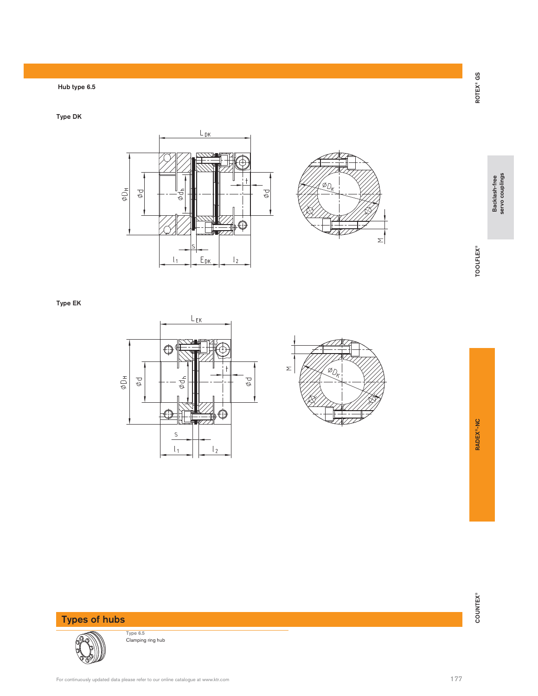### Hub type 6.5

Type DK





17<br>COUNTEX®<br>Backlash-free Backlash-AC Counter® Backlash-free Backlash-free Servo couplings

Type EK





Types of hubs



Type 6.5 Clamping ring hub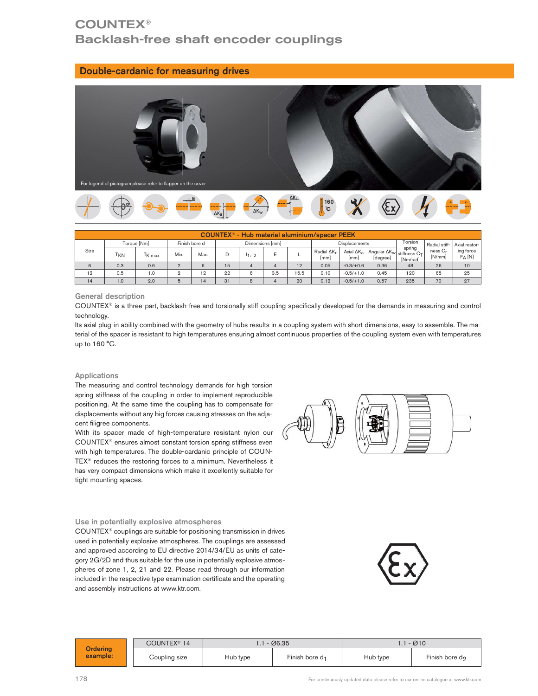# **COUNTEX®** Backlash-free shaft encoder couplings

#### Double-cardanic for measuring drives



|      |                       | $\overline{}$                                                |                |               |                |              |                 |      |                                                      |               |                                                                                                                 |                    |                               |                       |
|------|-----------------------|--------------------------------------------------------------|----------------|---------------|----------------|--------------|-----------------|------|------------------------------------------------------|---------------|-----------------------------------------------------------------------------------------------------------------|--------------------|-------------------------------|-----------------------|
|      |                       | For legend of pictogram please refer to flapper on the cover |                |               |                |              |                 |      |                                                      |               |                                                                                                                 |                    |                               |                       |
|      |                       |                                                              |                |               | $\Delta K_{a}$ | $\Delta K_W$ |                 |      | $\frac{1}{2}$ <sup>160</sup>                         |               |                                                                                                                 |                    |                               |                       |
|      |                       |                                                              |                |               |                |              |                 |      | <b>COUNTEX®</b> - Hub material aluminium/spacer PEEK |               |                                                                                                                 |                    |                               |                       |
|      |                       | Torque [Nm]                                                  |                | Finish bore d |                |              | Dimensions [mm] |      |                                                      | Displacements |                                                                                                                 | Torsion            | Radial stiff-                 | Axial restor-         |
| Size | <b>T<sub>KN</sub></b> | T <sub>K max</sub>                                           | Min.           | Max.          | D              | $1_1, 1_2$   | E               |      | Radial $\Delta K_r$<br>[mm]                          | [mm]          | $\overline{A}$ xial $\Delta K_a$ $\left $ Angular $\Delta K_w \right $ stiffness $C_T$ <sup>1</sup><br>[degree] | spring<br>[Nm/rad] | ness C <sub>r</sub><br>[N/mm] | ing force<br>$F_A[N]$ |
| 6    | 0.3                   | 0.6                                                          | $\overline{2}$ | 6             | 15             |              | $\Delta$        | 12   | 0.05                                                 | $-0.3/+0.6$   | 0.36                                                                                                            | 48                 | 26                            | 10                    |
|      | 0.5                   | 1.0                                                          | $\mathfrak{D}$ | 12            | 22             | 6            | 3.5             | 15.5 | 0.10                                                 | $-0.5/+1.0$   | 0.45                                                                                                            | 120                | 65                            | 25                    |
| 12   |                       | 2.0                                                          | 5              | 14            | 31             | $\mathbf{Q}$ |                 | 20   | 0.12                                                 | $-0.5/+1.0$   | 0.57                                                                                                            | 235                | 70                            | 27                    |

#### General description

COUNTEX® is a three-part, backlash-free and torsionally stiff coupling specifically developed for the demands in measuring and control technology.

Its axial plug-in ability combined with the geometry of hubs results in a coupling system with short dimensions, easy to assemble. The material of the spacer is resistant to high temperatures ensuring almost continuous properties of the coupling system even with temperatures up to 160 °C.

#### Applications

The measuring and control technology demands for high torsion spring stiffness of the coupling in order to implement reproducible positioning. At the same time the coupling has to compensate for displacements without any big forces causing stresses on the adjacent filigree components.

With its spacer made of high-temperature resistant nylon our COUNTEX® ensures almost constant torsion spring stiffness even with high temperatures. The double-cardanic principle of COUN-TEX® reduces the restoring forces to a minimum. Nevertheless it has very compact dimensions which make it excellently suitable for tight mounting spaces.

#### Use in potentially explosive atmospheres

COUNTEX® couplings are suitable for positioning transmission in drives used in potentially explosive atmospheres. The couplings are assessed and approved according to EU directive 2014/34/EU as units of category 2G/2D and thus suitable for the use in potentially explosive atmospheres of zone 1, 2, 21 and 22. Please read through our information included in the respective type examination certificate and the operating and assembly instructions at www.ktr.com.

|                | potentially explosive atmospheres. The couplings are assessed<br>proved according to EU directive 2014/34/EU as units of cate-<br>a/2D and thus suitable for the use in potentially explosive atmos-<br>of zone 1, 2, 21 and 22. Please read through our information<br>d in the respective type examination certificate and the operating<br>embly instructions at www.ktr.com. |          |                            |          |                                                                                   |
|----------------|----------------------------------------------------------------------------------------------------------------------------------------------------------------------------------------------------------------------------------------------------------------------------------------------------------------------------------------------------------------------------------|----------|----------------------------|----------|-----------------------------------------------------------------------------------|
|                | COUNTEX <sup>®</sup> 14                                                                                                                                                                                                                                                                                                                                                          |          | $1.1 - \emptyset 6.35$     |          | $1.1 - Ø10$                                                                       |
| ering<br>mple: | Coupling size                                                                                                                                                                                                                                                                                                                                                                    | Hub type | Finish bore d <sub>1</sub> | Hub type | Finish bore d <sub>2</sub>                                                        |
|                |                                                                                                                                                                                                                                                                                                                                                                                  |          |                            |          | For continuously updated data please refer to our online catalogue at www.ktr.com |

Ord exa